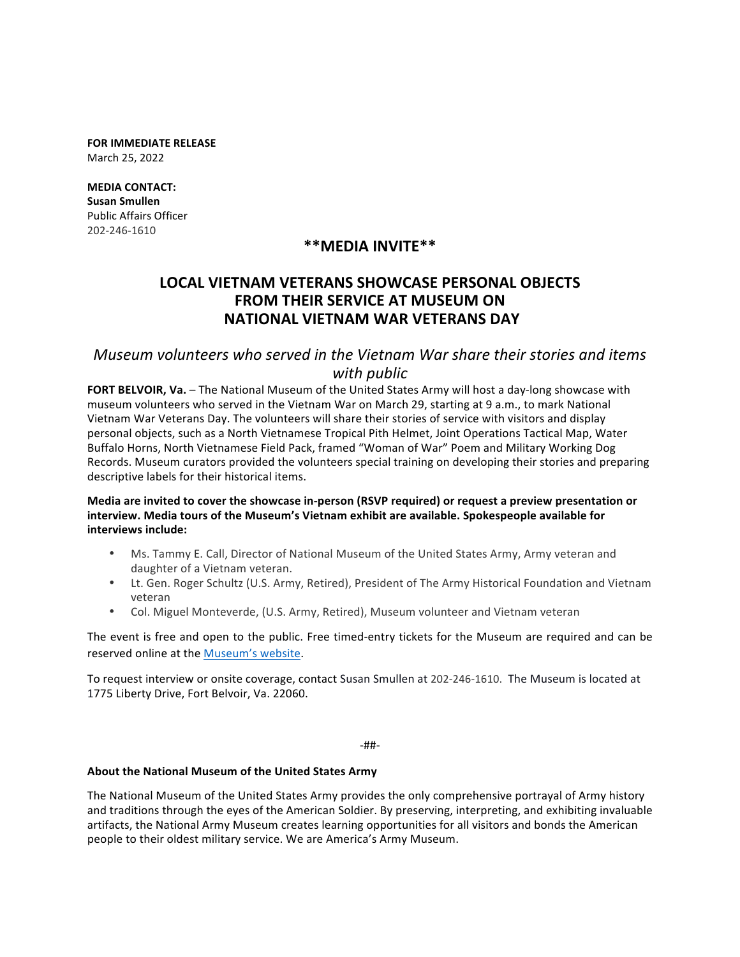**FOR IMMEDIATE RELEASE** March 25, 2022

**MEDIA CONTACT: Susan Smullen** Public Affairs Officer 202-246-1610

## **\*\*MEDIA INVITE\*\***

# **LOCAL VIETNAM VETERANS SHOWCASE PERSONAL OBJECTS FROM THEIR SERVICE AT MUSEUM ON NATIONAL VIETNAM WAR VETERANS DAY**

### *Museum* volunteers who served in the Vietnam War share their stories and items *with public*

FORT BELVOIR, Va. - The National Museum of the United States Army will host a day-long showcase with museum volunteers who served in the Vietnam War on March 29, starting at 9 a.m., to mark National Vietnam War Veterans Day. The volunteers will share their stories of service with visitors and display personal objects, such as a North Vietnamese Tropical Pith Helmet, Joint Operations Tactical Map, Water Buffalo Horns, North Vietnamese Field Pack, framed "Woman of War" Poem and Military Working Dog Records. Museum curators provided the volunteers special training on developing their stories and preparing descriptive labels for their historical items.

#### **Media are invited to cover the showcase in-person (RSVP required) or request a preview presentation or interview. Media tours of the Museum's Vietnam exhibit are available. Spokespeople available for interviews include:**

- Ms. Tammy E. Call, Director of National Museum of the United States Army, Army veteran and daughter of a Vietnam veteran.
- Lt. Gen. Roger Schultz (U.S. Army, Retired), President of The Army Historical Foundation and Vietnam veteran
- Col. Miguel Monteverde, (U.S. Army, Retired), Museum volunteer and Vietnam veteran

The event is free and open to the public. Free timed-entry tickets for the Museum are required and can be reserved online at the Museum's website.

To request interview or onsite coverage, contact Susan Smullen at 202-246-1610. The Museum is located at 1775 Liberty Drive, Fort Belvoir, Va. 22060.

-##-

#### About the National Museum of the United States Army

The National Museum of the United States Army provides the only comprehensive portrayal of Army history and traditions through the eyes of the American Soldier. By preserving, interpreting, and exhibiting invaluable artifacts, the National Army Museum creates learning opportunities for all visitors and bonds the American people to their oldest military service. We are America's Army Museum.